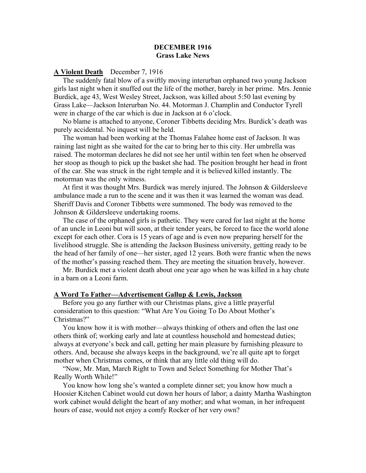# DECEMBER 1916 Grass Lake News

## A Violent Death December 7, 1916

 The suddenly fatal blow of a swiftly moving interurban orphaned two young Jackson girls last night when it snuffed out the life of the mother, barely in her prime. Mrs. Jennie Burdick, age 43, West Wesley Street, Jackson, was killed about 5:50 last evening by Grass Lake—Jackson Interurban No. 44. Motorman J. Champlin and Conductor Tyrell were in charge of the car which is due in Jackson at 6 o'clock.

 No blame is attached to anyone, Coroner Tibbetts deciding Mrs. Burdick's death was purely accidental. No inquest will be held.

 The woman had been working at the Thomas Falahee home east of Jackson. It was raining last night as she waited for the car to bring her to this city. Her umbrella was raised. The motorman declares he did not see her until within ten feet when he observed her stoop as though to pick up the basket she had. The position brought her head in front of the car. She was struck in the right temple and it is believed killed instantly. The motorman was the only witness.

 At first it was thought Mrs. Burdick was merely injured. The Johnson & Gildersleeve ambulance made a run to the scene and it was then it was learned the woman was dead. Sheriff Davis and Coroner Tibbetts were summoned. The body was removed to the Johnson & Gildersleeve undertaking rooms.

 The case of the orphaned girls is pathetic. They were cared for last night at the home of an uncle in Leoni but will soon, at their tender years, be forced to face the world alone except for each other. Cora is 15 years of age and is even now preparing herself for the livelihood struggle. She is attending the Jackson Business university, getting ready to be the head of her family of one—her sister, aged 12 years. Both were frantic when the news of the mother's passing reached them. They are meeting the situation bravely, however.

 Mr. Burdick met a violent death about one year ago when he was killed in a hay chute in a barn on a Leoni farm.

#### A Word To Father—Advertisement Gallup & Lewis, Jackson

 Before you go any further with our Christmas plans, give a little prayerful consideration to this question: "What Are You Going To Do About Mother's Christmas?"

 You know how it is with mother—always thinking of others and often the last one others think of; working early and late at countless household and homestead duties; always at everyone's beck and call, getting her main pleasure by furnishing pleasure to others. And, because she always keeps in the background, we're all quite apt to forget mother when Christmas comes, or think that any little old thing will do.

 "Now, Mr. Man, March Right to Town and Select Something for Mother That's Really Worth While!"

 You know how long she's wanted a complete dinner set; you know how much a Hoosier Kitchen Cabinet would cut down her hours of labor; a dainty Martha Washington work cabinet would delight the heart of any mother; and what woman, in her infrequent hours of ease, would not enjoy a comfy Rocker of her very own?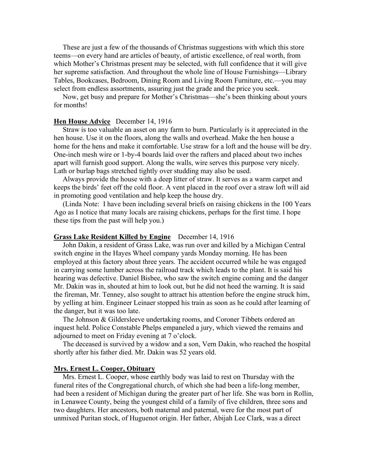These are just a few of the thousands of Christmas suggestions with which this store teems—on every hand are articles of beauty, of artistic excellence, of real worth, from which Mother's Christmas present may be selected, with full confidence that it will give her supreme satisfaction. And throughout the whole line of House Furnishings—Library Tables, Bookcases, Bedroom, Dining Room and Living Room Furniture, etc.—you may select from endless assortments, assuring just the grade and the price you seek.

 Now, get busy and prepare for Mother's Christmas—she's been thinking about yours for months!

# Hen House Advice December 14, 1916

 Straw is too valuable an asset on any farm to burn. Particularly is it appreciated in the hen house. Use it on the floors, along the walls and overhead. Make the hen house a home for the hens and make it comfortable. Use straw for a loft and the house will be dry. One-inch mesh wire or 1-by-4 boards laid over the rafters and placed about two inches apart will furnish good support. Along the walls, wire serves this purpose very nicely. Lath or burlap bags stretched tightly over studding may also be used.

 Always provide the house with a deep litter of straw. It serves as a warm carpet and keeps the birds' feet off the cold floor. A vent placed in the roof over a straw loft will aid in promoting good ventilation and help keep the house dry.

 (Linda Note: I have been including several briefs on raising chickens in the 100 Years Ago as I notice that many locals are raising chickens, perhaps for the first time. I hope these tips from the past will help you.)

#### Grass Lake Resident Killed by Engine December 14, 1916

 John Dakin, a resident of Grass Lake, was run over and killed by a Michigan Central switch engine in the Hayes Wheel company yards Monday morning. He has been employed at this factory about three years. The accident occurred while he was engaged in carrying some lumber across the railroad track which leads to the plant. It is said his hearing was defective. Daniel Bisbee, who saw the switch engine coming and the danger Mr. Dakin was in, shouted at him to look out, but he did not heed the warning. It is said the fireman, Mr. Tenney, also sought to attract his attention before the engine struck him, by yelling at him. Engineer Leinaer stopped his train as soon as he could after learning of the danger, but it was too late.

 The Johnson & Gildersleeve undertaking rooms, and Coroner Tibbets ordered an inquest held. Police Constable Phelps empaneled a jury, which viewed the remains and adjourned to meet on Friday evening at 7 o'clock.

 The deceased is survived by a widow and a son, Vern Dakin, who reached the hospital shortly after his father died. Mr. Dakin was 52 years old.

## Mrs. Ernest L. Cooper, Obituary

 Mrs. Ernest L. Cooper, whose earthly body was laid to rest on Thursday with the funeral rites of the Congregational church, of which she had been a life-long member, had been a resident of Michigan during the greater part of her life. She was born in Rollin, in Lenawee County, being the youngest child of a family of five children, three sons and two daughters. Her ancestors, both maternal and paternal, were for the most part of unmixed Puritan stock, of Huguenot origin. Her father, Abijah Lee Clark, was a direct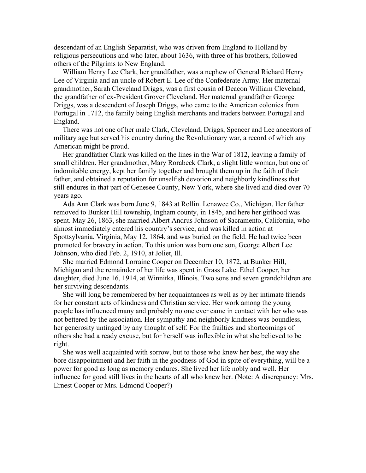descendant of an English Separatist, who was driven from England to Holland by religious persecutions and who later, about 1636, with three of his brothers, followed others of the Pilgrims to New England.

 William Henry Lee Clark, her grandfather, was a nephew of General Richard Henry Lee of Virginia and an uncle of Robert E. Lee of the Confederate Army. Her maternal grandmother, Sarah Cleveland Driggs, was a first cousin of Deacon William Cleveland, the grandfather of ex-President Grover Cleveland. Her maternal grandfather George Driggs, was a descendent of Joseph Driggs, who came to the American colonies from Portugal in 1712, the family being English merchants and traders between Portugal and England.

 There was not one of her male Clark, Cleveland, Driggs, Spencer and Lee ancestors of military age but served his country during the Revolutionary war, a record of which any American might be proud.

 Her grandfather Clark was killed on the lines in the War of 1812, leaving a family of small children. Her grandmother, Mary Rorabeck Clark, a slight little woman, but one of indomitable energy, kept her family together and brought them up in the faith of their father, and obtained a reputation for unselfish devotion and neighborly kindliness that still endures in that part of Genesee County, New York, where she lived and died over 70 years ago.

 Ada Ann Clark was born June 9, 1843 at Rollin. Lenawee Co., Michigan. Her father removed to Bunker Hill township, Ingham county, in 1845, and here her girlhood was spent. May 26, 1863, she married Albert Andrus Johnson of Sacramento, California, who almost immediately entered his country's service, and was killed in action at Spottsylvania, Virginia, May 12, 1864, and was buried on the field. He had twice been promoted for bravery in action. To this union was born one son, George Albert Lee Johnson, who died Feb. 2, 1910, at Joliet, Ill.

 She married Edmond Lorraine Cooper on December 10, 1872, at Bunker Hill, Michigan and the remainder of her life was spent in Grass Lake. Ethel Cooper, her daughter, died June 16, 1914, at Winnitka, Illinois. Two sons and seven grandchildren are her surviving descendants.

 She will long be remembered by her acquaintances as well as by her intimate friends for her constant acts of kindness and Christian service. Her work among the young people has influenced many and probably no one ever came in contact with her who was not bettered by the association. Her sympathy and neighborly kindness was boundless, her generosity untinged by any thought of self. For the frailties and shortcomings of others she had a ready excuse, but for herself was inflexible in what she believed to be right.

 She was well acquainted with sorrow, but to those who knew her best, the way she bore disappointment and her faith in the goodness of God in spite of everything, will be a power for good as long as memory endures. She lived her life nobly and well. Her influence for good still lives in the hearts of all who knew her. (Note: A discrepancy: Mrs. Ernest Cooper or Mrs. Edmond Cooper?)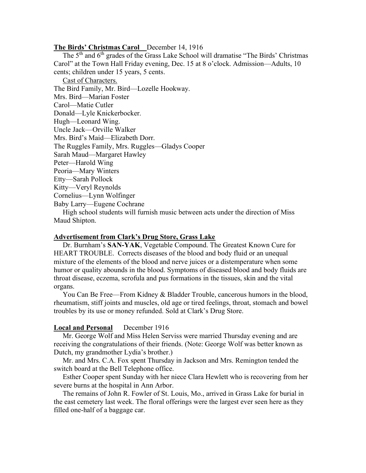## The Birds' Christmas Carol December 14, 1916

The  $5<sup>th</sup>$  and  $6<sup>th</sup>$  grades of the Grass Lake School will dramatise "The Birds' Christmas Carol" at the Town Hall Friday evening, Dec. 15 at 8 o'clock. Admission—Adults, 10 cents; children under 15 years, 5 cents.

Cast of Characters.

The Bird Family, Mr. Bird—Lozelle Hookway.

Mrs. Bird—Marian Foster

Carol—Matie Cutler

Donald—Lyle Knickerbocker.

Hugh—Leonard Wing.

Uncle Jack—Orville Walker

Mrs. Bird's Maid—Elizabeth Dorr.

The Ruggles Family, Mrs. Ruggles—Gladys Cooper

Sarah Maud—Margaret Hawley

Peter—Harold Wing

Peoria—Mary Winters

Etty—Sarah Pollock

Kitty—Veryl Reynolds

Cornelius—Lynn Wolfinger

Baby Larry—Eugene Cochrane

 High school students will furnish music between acts under the direction of Miss Maud Shipton.

# Advertisement from Clark's Drug Store, Grass Lake

 Dr. Burnham's SAN-YAK, Vegetable Compound. The Greatest Known Cure for HEART TROUBLE. Corrects diseases of the blood and body fluid or an unequal mixture of the elements of the blood and nerve juices or a distemperature when some humor or quality abounds in the blood. Symptoms of diseased blood and body fluids are throat disease, eczema, scrofula and pus formations in the tissues, skin and the vital organs.

 You Can Be Free—From Kidney & Bladder Trouble, cancerous humors in the blood, rheumatism, stiff joints and muscles, old age or tired feelings, throat, stomach and bowel troubles by its use or money refunded. Sold at Clark's Drug Store.

#### Local and Personal December 1916

 Mr. George Wolf and Miss Helen Serviss were married Thursday evening and are receiving the congratulations of their friends. (Note: George Wolf was better known as Dutch, my grandmother Lydia's brother.)

 Mr. and Mrs. C.A. Fox spent Thursday in Jackson and Mrs. Remington tended the switch board at the Bell Telephone office.

 Esther Cooper spent Sunday with her niece Clara Hewlett who is recovering from her severe burns at the hospital in Ann Arbor.

 The remains of John R. Fowler of St. Louis, Mo., arrived in Grass Lake for burial in the east cemetery last week. The floral offerings were the largest ever seen here as they filled one-half of a baggage car.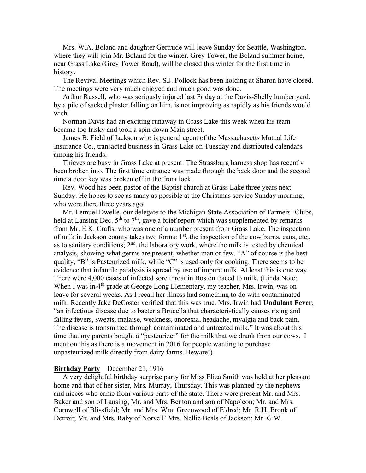Mrs. W.A. Boland and daughter Gertrude will leave Sunday for Seattle, Washington, where they will join Mr. Boland for the winter. Grey Tower, the Boland summer home, near Grass Lake (Grey Tower Road), will be closed this winter for the first time in history.

 The Revival Meetings which Rev. S.J. Pollock has been holding at Sharon have closed. The meetings were very much enjoyed and much good was done.

 Arthur Russell, who was seriously injured last Friday at the Davis-Shelly lumber yard, by a pile of sacked plaster falling on him, is not improving as rapidly as his friends would wish.

 Norman Davis had an exciting runaway in Grass Lake this week when his team became too frisky and took a spin down Main street.

 James B. Field of Jackson who is general agent of the Massachusetts Mutual Life Insurance Co., transacted business in Grass Lake on Tuesday and distributed calendars among his friends.

 Thieves are busy in Grass Lake at present. The Strassburg harness shop has recently been broken into. The first time entrance was made through the back door and the second time a door key was broken off in the front lock.

 Rev. Wood has been pastor of the Baptist church at Grass Lake three years next Sunday. He hopes to see as many as possible at the Christmas service Sunday morning, who were there three years ago.

 Mr. Lemuel Dwelle, our delegate to the Michigan State Association of Farmers' Clubs, held at Lansing Dec.  $5<sup>th</sup>$  to  $7<sup>th</sup>$ , gave a brief report which was supplemented by remarks from Mr. E.K. Crafts, who was one of a number present from Grass Lake. The inspection of milk in Jackson county takes two forms:  $1<sup>st</sup>$ , the inspection of the cow barns, cans, etc., as to sanitary conditions;  $2<sup>nd</sup>$ , the laboratory work, where the milk is tested by chemical analysis, showing what germs are present, whether man or few. "A" of course is the best quality, "B" is Pasteurized milk, while "C" is used only for cooking. There seems to be evidence that infantile paralysis is spread by use of impure milk. At least this is one way. There were 4,000 cases of infected sore throat in Boston traced to milk. (Linda Note: When I was in 4<sup>th</sup> grade at George Long Elementary, my teacher, Mrs. Irwin, was on leave for several weeks. As I recall her illness had something to do with contaminated milk. Recently Jake DeCoster verified that this was true. Mrs. Irwin had Undulant Fever, "an infectious disease due to bacteria Brucella that characteristically causes rising and falling fevers, sweats, malaise, weakness, anorexia, headache, myalgia and back pain. The disease is transmitted through contaminated and untreated milk." It was about this time that my parents bought a "pasteurizer" for the milk that we drank from our cows. I mention this as there is a movement in 2016 for people wanting to purchase unpasteurized milk directly from dairy farms. Beware!)

## Birthday Party December 21, 1916

 A very delightful birthday surprise party for Miss Eliza Smith was held at her pleasant home and that of her sister, Mrs. Murray, Thursday. This was planned by the nephews and nieces who came from various parts of the state. There were present Mr. and Mrs. Baker and son of Lansing, Mr. and Mrs. Benton and son of Napoleon; Mr. and Mrs. Cornwell of Blissfield; Mr. and Mrs. Wm. Greenwood of Eldred; Mr. R.H. Bronk of Detroit; Mr. and Mrs. Raby of Norvell' Mrs. Nellie Beals of Jackson; Mr. G.W.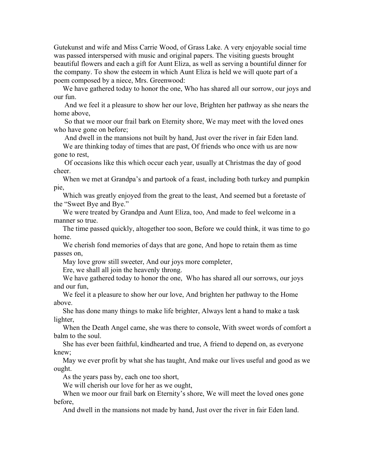Gutekunst and wife and Miss Carrie Wood, of Grass Lake. A very enjoyable social time was passed interspersed with music and original papers. The visiting guests brought beautiful flowers and each a gift for Aunt Eliza, as well as serving a bountiful dinner for the company. To show the esteem in which Aunt Eliza is held we will quote part of a poem composed by a niece, Mrs. Greenwood:

 We have gathered today to honor the one, Who has shared all our sorrow, our joys and our fun.

 And we feel it a pleasure to show her our love, Brighten her pathway as she nears the home above,

 So that we moor our frail bark on Eternity shore, We may meet with the loved ones who have gone on before;

And dwell in the mansions not built by hand, Just over the river in fair Eden land.

 We are thinking today of times that are past, Of friends who once with us are now gone to rest,

 Of occasions like this which occur each year, usually at Christmas the day of good cheer.

 When we met at Grandpa's and partook of a feast, including both turkey and pumpkin pie,

 Which was greatly enjoyed from the great to the least, And seemed but a foretaste of the "Sweet Bye and Bye."

 We were treated by Grandpa and Aunt Eliza, too, And made to feel welcome in a manner so true.

 The time passed quickly, altogether too soon, Before we could think, it was time to go home.

 We cherish fond memories of days that are gone, And hope to retain them as time passes on,

May love grow still sweeter, And our joys more completer,

Ere, we shall all join the heavenly throng.

 We have gathered today to honor the one, Who has shared all our sorrows, our joys and our fun,

 We feel it a pleasure to show her our love, And brighten her pathway to the Home above.

 She has done many things to make life brighter, Always lent a hand to make a task lighter,

 When the Death Angel came, she was there to console, With sweet words of comfort a balm to the soul.

 She has ever been faithful, kindhearted and true, A friend to depend on, as everyone knew;

 May we ever profit by what she has taught, And make our lives useful and good as we ought.

As the years pass by, each one too short,

We will cherish our love for her as we ought,

 When we moor our frail bark on Eternity's shore, We will meet the loved ones gone before,

And dwell in the mansions not made by hand, Just over the river in fair Eden land.